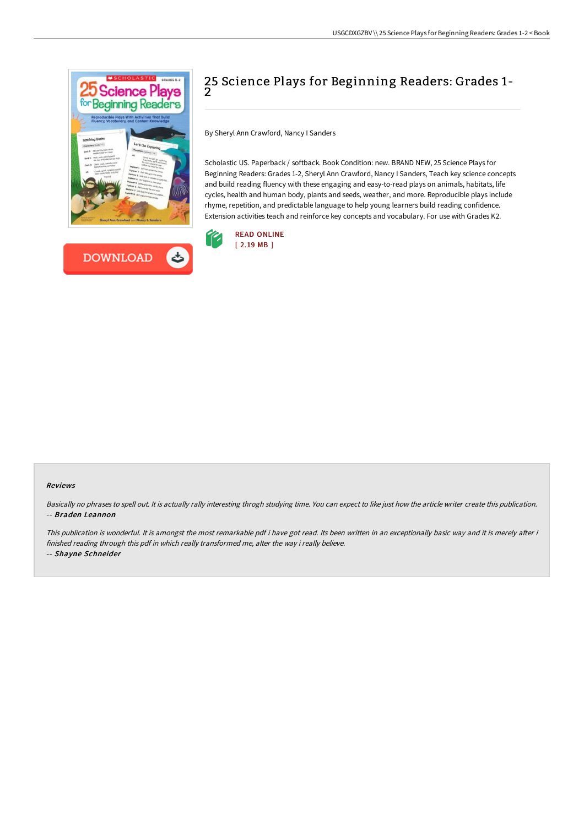



# 25 Science Plays for Beginning Readers: Grades 1- 2

By Sheryl Ann Crawford, Nancy I Sanders

Scholastic US. Paperback / softback. Book Condition: new. BRAND NEW, 25 Science Plays for Beginning Readers: Grades 1-2, Sheryl Ann Crawford, Nancy I Sanders, Teach key science concepts and build reading fluency with these engaging and easy-to-read plays on animals, habitats, life cycles, health and human body, plants and seeds, weather, and more. Reproducible plays include rhyme, repetition, and predictable language to help young learners build reading confidence. Extension activities teach and reinforce key concepts and vocabulary. For use with Grades K2.



#### Reviews

Basically no phrases to spell out. It is actually rally interesting throgh studying time. You can expect to like just how the article writer create this publication. -- Braden Leannon

This publication is wonderful. It is amongst the most remarkable pdf i have got read. Its been written in an exceptionally basic way and it is merely after i finished reading through this pdf in which really transformed me, alter the way i really believe. -- Shayne Schneider